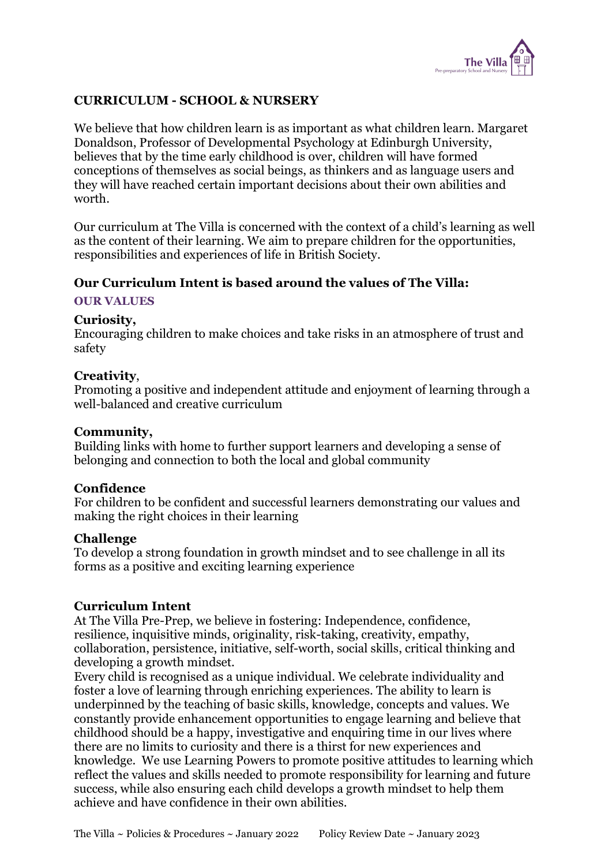

### CURRICULUM - SCHOOL & NURSERY

We believe that how children learn is as important as what children learn. Margaret Donaldson, Professor of Developmental Psychology at Edinburgh University, believes that by the time early childhood is over, children will have formed conceptions of themselves as social beings, as thinkers and as language users and they will have reached certain important decisions about their own abilities and worth.

Our curriculum at The Villa is concerned with the context of a child's learning as well as the content of their learning. We aim to prepare children for the opportunities, responsibilities and experiences of life in British Society.

#### Our Curriculum Intent is based around the values of The Villa:

#### OUR VALUES

#### Curiosity,

Encouraging children to make choices and take risks in an atmosphere of trust and safety

#### Creativity,

Promoting a positive and independent attitude and enjoyment of learning through a well-balanced and creative curriculum

#### Community,

Building links with home to further support learners and developing a sense of belonging and connection to both the local and global community

#### Confidence

For children to be confident and successful learners demonstrating our values and making the right choices in their learning

#### Challenge

To develop a strong foundation in growth mindset and to see challenge in all its forms as a positive and exciting learning experience

#### Curriculum Intent

At The Villa Pre-Prep, we believe in fostering: Independence, confidence, resilience, inquisitive minds, originality, risk-taking, creativity, empathy, collaboration, persistence, initiative, self-worth, social skills, critical thinking and developing a growth mindset.

Every child is recognised as a unique individual. We celebrate individuality and foster a love of learning through enriching experiences. The ability to learn is underpinned by the teaching of basic skills, knowledge, concepts and values. We constantly provide enhancement opportunities to engage learning and believe that childhood should be a happy, investigative and enquiring time in our lives where there are no limits to curiosity and there is a thirst for new experiences and knowledge. We use Learning Powers to promote positive attitudes to learning which reflect the values and skills needed to promote responsibility for learning and future success, while also ensuring each child develops a growth mindset to help them achieve and have confidence in their own abilities.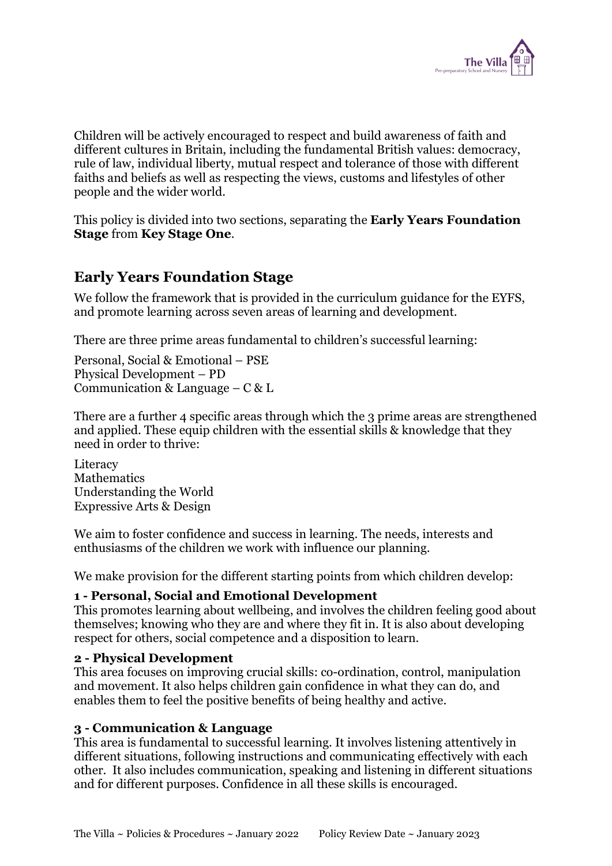

Children will be actively encouraged to respect and build awareness of faith and different cultures in Britain, including the fundamental British values: democracy, rule of law, individual liberty, mutual respect and tolerance of those with different faiths and beliefs as well as respecting the views, customs and lifestyles of other people and the wider world.

This policy is divided into two sections, separating the **Early Years Foundation** Stage from Key Stage One.

# Early Years Foundation Stage

We follow the framework that is provided in the curriculum guidance for the EYFS, and promote learning across seven areas of learning and development.

There are three prime areas fundamental to children's successful learning:

Personal, Social & Emotional – PSE Physical Development – PD Communication & Language –  $C & L$ 

There are a further 4 specific areas through which the 3 prime areas are strengthened and applied. These equip children with the essential skills & knowledge that they need in order to thrive:

**Literacy** Mathematics Understanding the World Expressive Arts & Design

We aim to foster confidence and success in learning. The needs, interests and enthusiasms of the children we work with influence our planning.

We make provision for the different starting points from which children develop:

#### 1 - Personal, Social and Emotional Development

This promotes learning about wellbeing, and involves the children feeling good about themselves; knowing who they are and where they fit in. It is also about developing respect for others, social competence and a disposition to learn.

#### 2 - Physical Development

This area focuses on improving crucial skills: co-ordination, control, manipulation and movement. It also helps children gain confidence in what they can do, and enables them to feel the positive benefits of being healthy and active.

#### 3 - Communication & Language

This area is fundamental to successful learning. It involves listening attentively in different situations, following instructions and communicating effectively with each other. It also includes communication, speaking and listening in different situations and for different purposes. Confidence in all these skills is encouraged.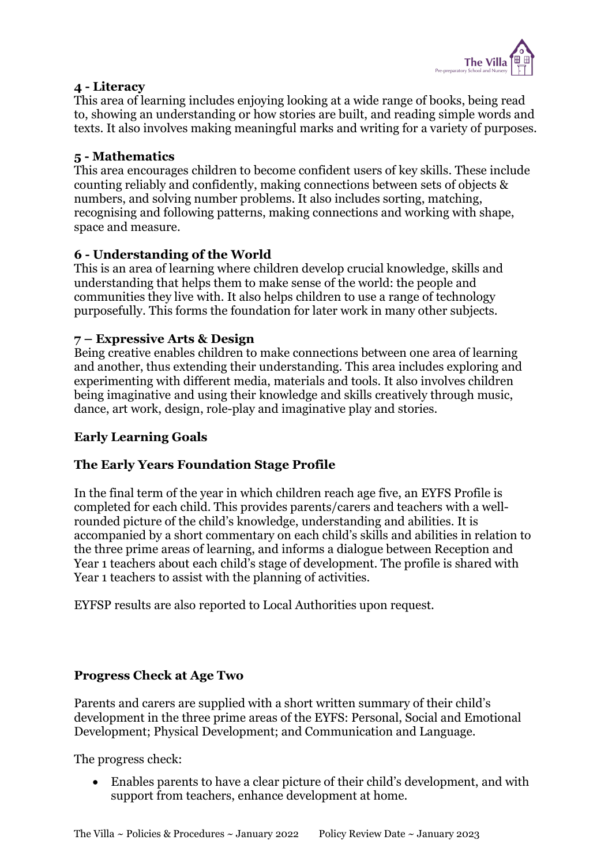

#### 4 - Literacy

This area of learning includes enjoying looking at a wide range of books, being read to, showing an understanding or how stories are built, and reading simple words and texts. It also involves making meaningful marks and writing for a variety of purposes.

### 5 - Mathematics

This area encourages children to become confident users of key skills. These include counting reliably and confidently, making connections between sets of objects & numbers, and solving number problems. It also includes sorting, matching, recognising and following patterns, making connections and working with shape, space and measure.

#### 6 - Understanding of the World

This is an area of learning where children develop crucial knowledge, skills and understanding that helps them to make sense of the world: the people and communities they live with. It also helps children to use a range of technology purposefully. This forms the foundation for later work in many other subjects.

#### 7 – Expressive Arts & Design

Being creative enables children to make connections between one area of learning and another, thus extending their understanding. This area includes exploring and experimenting with different media, materials and tools. It also involves children being imaginative and using their knowledge and skills creatively through music, dance, art work, design, role-play and imaginative play and stories.

### Early Learning Goals

### The Early Years Foundation Stage Profile

In the final term of the year in which children reach age five, an EYFS Profile is completed for each child. This provides parents/carers and teachers with a wellrounded picture of the child's knowledge, understanding and abilities. It is accompanied by a short commentary on each child's skills and abilities in relation to the three prime areas of learning, and informs a dialogue between Reception and Year 1 teachers about each child's stage of development. The profile is shared with Year 1 teachers to assist with the planning of activities.

EYFSP results are also reported to Local Authorities upon request.

#### Progress Check at Age Two

Parents and carers are supplied with a short written summary of their child's development in the three prime areas of the EYFS: Personal, Social and Emotional Development; Physical Development; and Communication and Language.

The progress check:

 Enables parents to have a clear picture of their child's development, and with support from teachers, enhance development at home.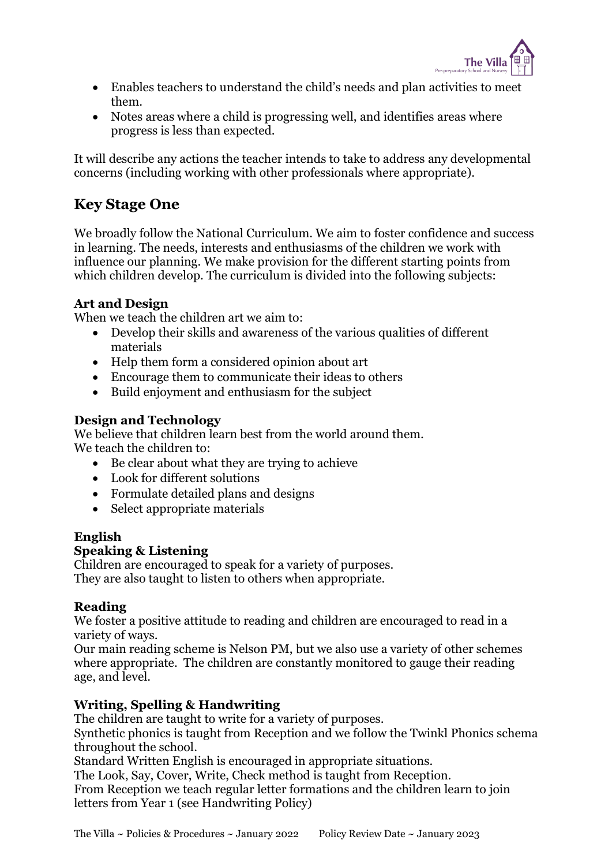

- Enables teachers to understand the child's needs and plan activities to meet them.
- Notes areas where a child is progressing well, and identifies areas where progress is less than expected.

It will describe any actions the teacher intends to take to address any developmental concerns (including working with other professionals where appropriate).

# Key Stage One

We broadly follow the National Curriculum. We aim to foster confidence and success in learning. The needs, interests and enthusiasms of the children we work with influence our planning. We make provision for the different starting points from which children develop. The curriculum is divided into the following subjects:

### Art and Design

When we teach the children art we aim to:

- Develop their skills and awareness of the various qualities of different materials
- Help them form a considered opinion about art
- Encourage them to communicate their ideas to others
- Build enjoyment and enthusiasm for the subject

#### Design and Technology

We believe that children learn best from the world around them. We teach the children to:

- Be clear about what they are trying to achieve
- Look for different solutions
- Formulate detailed plans and designs
- Select appropriate materials

#### English Speaking & Listening

Children are encouraged to speak for a variety of purposes. They are also taught to listen to others when appropriate.

### Reading

We foster a positive attitude to reading and children are encouraged to read in a variety of ways.

Our main reading scheme is Nelson PM, but we also use a variety of other schemes where appropriate. The children are constantly monitored to gauge their reading age, and level.

### Writing, Spelling & Handwriting

The children are taught to write for a variety of purposes.

Synthetic phonics is taught from Reception and we follow the Twinkl Phonics schema throughout the school.

Standard Written English is encouraged in appropriate situations.

The Look, Say, Cover, Write, Check method is taught from Reception. From Reception we teach regular letter formations and the children learn to join letters from Year 1 (see Handwriting Policy)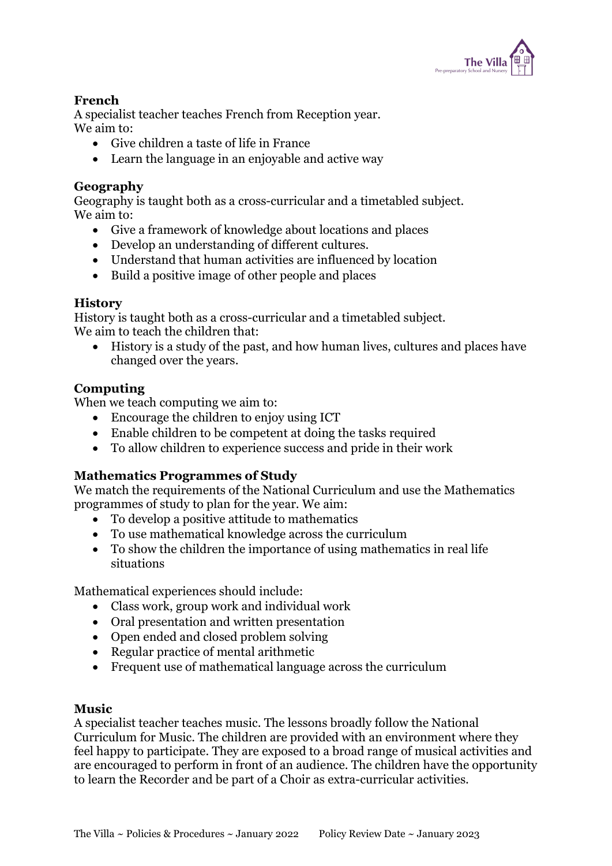

### French

A specialist teacher teaches French from Reception year. We aim to:

- Give children a taste of life in France
- Learn the language in an enjoyable and active way

#### Geography

Geography is taught both as a cross-curricular and a timetabled subject. We aim to:

- Give a framework of knowledge about locations and places
- Develop an understanding of different cultures.
- Understand that human activities are influenced by location
- Build a positive image of other people and places

#### **History**

History is taught both as a cross-curricular and a timetabled subject. We aim to teach the children that:

 History is a study of the past, and how human lives, cultures and places have changed over the years.

#### Computing

When we teach computing we aim to:

- Encourage the children to enjoy using ICT
- Enable children to be competent at doing the tasks required
- To allow children to experience success and pride in their work

### Mathematics Programmes of Study

We match the requirements of the National Curriculum and use the Mathematics programmes of study to plan for the year. We aim:

- To develop a positive attitude to mathematics
- To use mathematical knowledge across the curriculum
- To show the children the importance of using mathematics in real life situations

Mathematical experiences should include:

- Class work, group work and individual work
- Oral presentation and written presentation
- Open ended and closed problem solving
- Regular practice of mental arithmetic
- Frequent use of mathematical language across the curriculum

#### Music

A specialist teacher teaches music. The lessons broadly follow the National Curriculum for Music. The children are provided with an environment where they feel happy to participate. They are exposed to a broad range of musical activities and are encouraged to perform in front of an audience. The children have the opportunity to learn the Recorder and be part of a Choir as extra-curricular activities.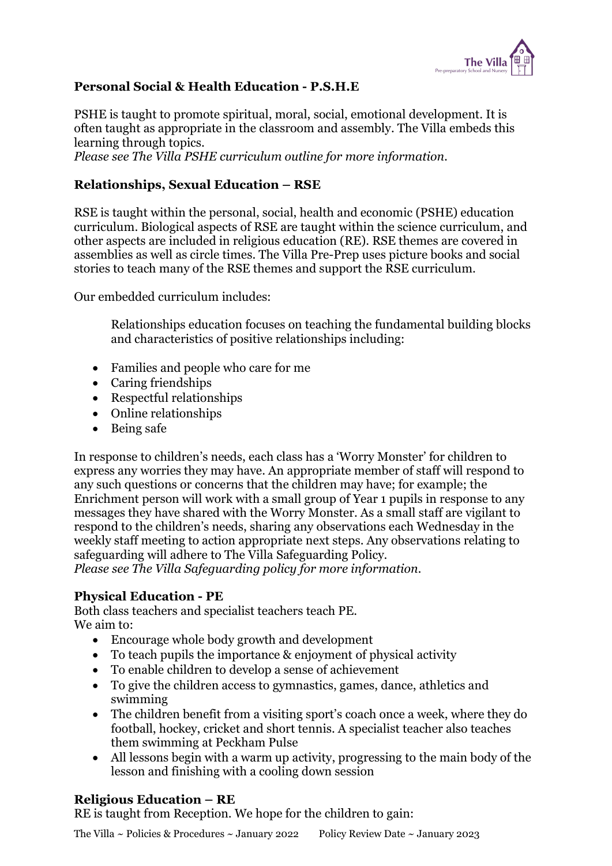

### Personal Social & Health Education - P.S.H.E

PSHE is taught to promote spiritual, moral, social, emotional development. It is often taught as appropriate in the classroom and assembly. The Villa embeds this learning through topics.

Please see The Villa PSHE curriculum outline for more information.

# Relationships, Sexual Education – RSE

RSE is taught within the personal, social, health and economic (PSHE) education curriculum. Biological aspects of RSE are taught within the science curriculum, and other aspects are included in religious education (RE). RSE themes are covered in assemblies as well as circle times. The Villa Pre-Prep uses picture books and social stories to teach many of the RSE themes and support the RSE curriculum.

Our embedded curriculum includes:

Relationships education focuses on teaching the fundamental building blocks and characteristics of positive relationships including:

- Families and people who care for me
- Caring friendships
- Respectful relationships
- Online relationships
- Being safe

In response to children's needs, each class has a 'Worry Monster' for children to express any worries they may have. An appropriate member of staff will respond to any such questions or concerns that the children may have; for example; the Enrichment person will work with a small group of Year 1 pupils in response to any messages they have shared with the Worry Monster. As a small staff are vigilant to respond to the children's needs, sharing any observations each Wednesday in the weekly staff meeting to action appropriate next steps. Any observations relating to safeguarding will adhere to The Villa Safeguarding Policy. Please see The Villa Safeguarding policy for more information.

### Physical Education - PE

Both class teachers and specialist teachers teach PE. We aim to:

- Encourage whole body growth and development
- To teach pupils the importance & enjoyment of physical activity
- To enable children to develop a sense of achievement
- To give the children access to gymnastics, games, dance, athletics and swimming
- The children benefit from a visiting sport's coach once a week, where they do football, hockey, cricket and short tennis. A specialist teacher also teaches them swimming at Peckham Pulse
- All lessons begin with a warm up activity, progressing to the main body of the lesson and finishing with a cooling down session

### Religious Education – RE

RE is taught from Reception. We hope for the children to gain: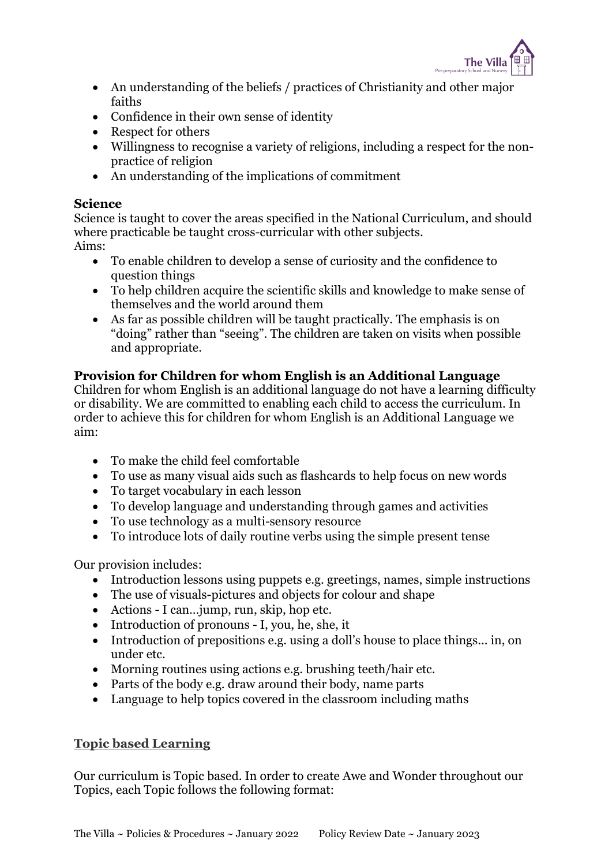

- An understanding of the beliefs / practices of Christianity and other major faiths
- Confidence in their own sense of identity
- Respect for others
- Willingness to recognise a variety of religions, including a respect for the nonpractice of religion
- An understanding of the implications of commitment

#### Science

Science is taught to cover the areas specified in the National Curriculum, and should where practicable be taught cross-curricular with other subjects. Aims:

- To enable children to develop a sense of curiosity and the confidence to question things
- To help children acquire the scientific skills and knowledge to make sense of themselves and the world around them
- As far as possible children will be taught practically. The emphasis is on "doing" rather than "seeing". The children are taken on visits when possible and appropriate.

### Provision for Children for whom English is an Additional Language

Children for whom English is an additional language do not have a learning difficulty or disability. We are committed to enabling each child to access the curriculum. In order to achieve this for children for whom English is an Additional Language we aim:

- To make the child feel comfortable
- To use as many visual aids such as flashcards to help focus on new words
- To target vocabulary in each lesson
- To develop language and understanding through games and activities
- To use technology as a multi-sensory resource
- To introduce lots of daily routine verbs using the simple present tense

Our provision includes:

- Introduction lessons using puppets e.g. greetings, names, simple instructions
- The use of visuals-pictures and objects for colour and shape
- Actions I can... jump, run, skip, hop etc.
- Introduction of pronouns I, you, he, she, it
- Introduction of prepositions e.g. using a doll's house to place things... in, on under etc.
- Morning routines using actions e.g. brushing teeth/hair etc.
- Parts of the body e.g. draw around their body, name parts
- Language to help topics covered in the classroom including maths

# Topic based Learning

Our curriculum is Topic based. In order to create Awe and Wonder throughout our Topics, each Topic follows the following format: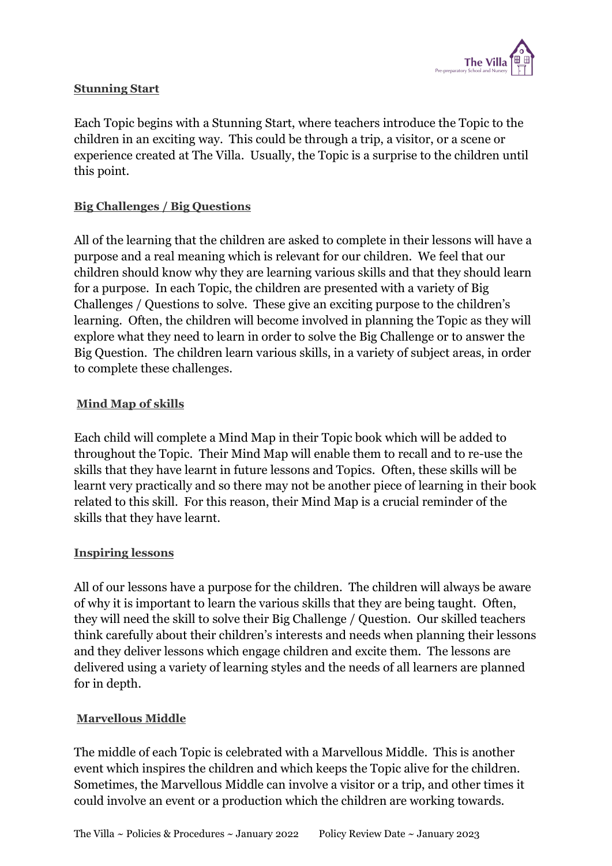

### Stunning Start

Each Topic begins with a Stunning Start, where teachers introduce the Topic to the children in an exciting way. This could be through a trip, a visitor, or a scene or experience created at The Villa. Usually, the Topic is a surprise to the children until this point.

# Big Challenges / Big Questions

All of the learning that the children are asked to complete in their lessons will have a purpose and a real meaning which is relevant for our children. We feel that our children should know why they are learning various skills and that they should learn for a purpose. In each Topic, the children are presented with a variety of Big Challenges / Questions to solve. These give an exciting purpose to the children's learning. Often, the children will become involved in planning the Topic as they will explore what they need to learn in order to solve the Big Challenge or to answer the Big Question. The children learn various skills, in a variety of subject areas, in order to complete these challenges.

### Mind Map of skills

Each child will complete a Mind Map in their Topic book which will be added to throughout the Topic. Their Mind Map will enable them to recall and to re-use the skills that they have learnt in future lessons and Topics. Often, these skills will be learnt very practically and so there may not be another piece of learning in their book related to this skill. For this reason, their Mind Map is a crucial reminder of the skills that they have learnt.

### Inspiring lessons

All of our lessons have a purpose for the children. The children will always be aware of why it is important to learn the various skills that they are being taught. Often, they will need the skill to solve their Big Challenge / Question. Our skilled teachers think carefully about their children's interests and needs when planning their lessons and they deliver lessons which engage children and excite them. The lessons are delivered using a variety of learning styles and the needs of all learners are planned for in depth.

### Marvellous Middle

The middle of each Topic is celebrated with a Marvellous Middle. This is another event which inspires the children and which keeps the Topic alive for the children. Sometimes, the Marvellous Middle can involve a visitor or a trip, and other times it could involve an event or a production which the children are working towards.